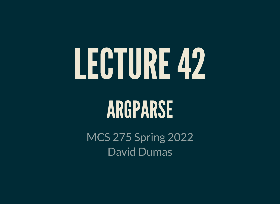# LECTURE42

### ARGPARSE

MCS 275 Spring 2022 David Dumas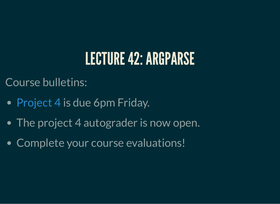#### LECTURE 42: ARGPARSE

Course bulletins:

- [Project](https://www.dumas.io/teaching/2022/spring/mcs275/nbview/projects/project4.html) 4 is due 6pm Friday.
- The project 4 autograder is now open.
- Complete your course evaluations!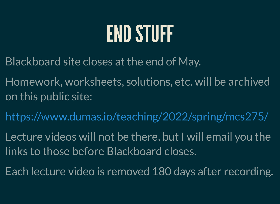#### END STUFF

- Blackboard site closes at the end of May.
- Homework, worksheets, solutions, etc. will be archived on this public site:
- <https://www.dumas.io/teaching/2022/spring/mcs275/>
- Lecture videos will not be there, but I will email you the links to those before Blackboard closes.
- Each lecture video is removed 180 days after recording.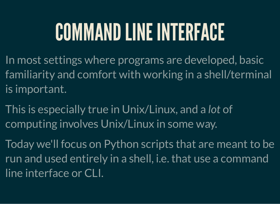# COMMANDLINE INTERFACE

- In most settings where programs are developed, basic familiarity and comfort with working in a shell/terminal is important.
- This is especially true in Unix/Linux, and a *lot* of computing involves Unix/Linux in some way.
- Today we'll focus on Python scripts that are meant to be run and used entirely in a shell, i.e. that use a command line interface or CLI.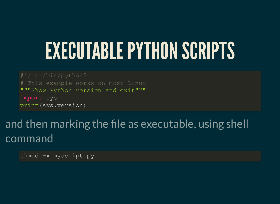#### EXECUTABLE PYTHON SCRIPTS

"""Show Python version and exit""" **import** sys print(sys.version)

#### and then marking the file as executable, using shell command

chmod +x myscript.py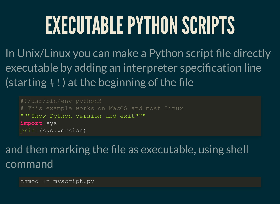# EXECUTABLE PYTHON SCRIPTS

In Unix/Linux you can make a Python script file directly executable by adding an interpreter specification line (starting  $\#$ !) at the beginning of the file

"""Show Python version and exit""" **import** sys print(sys.version)

#### and then marking the file as executable, using shell command

chmod +x myscript.py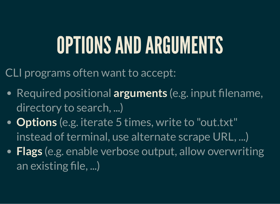# OPTIONSANDARGUMENTS

CLI programs often want to accept:

- Required positional **arguments** (e.g. input filename, directory to search, ...)
- **Options** (e.g. iterate 5 times, write to "out.txt" instead of terminal, use alternate scrape URL, ...)
- **Flags** (e.g. enable verbose output, allow overwriting an existing file, ...)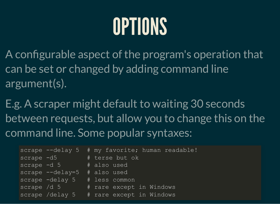# OPTIONS

A configurable aspect of the program's operation that can be set or changed by adding command line argument(s).

E.g. A scraper might default to waiting 30 seconds between requests, but allow you to change this on the command line. Some popular syntaxes:

|                 |                                      | scrape --delay 5 # my favorite; human readable! |
|-----------------|--------------------------------------|-------------------------------------------------|
|                 |                                      | scrape -d5 # terse but ok                       |
|                 | scrape -d 5 # also used              |                                                 |
|                 | scrape $-\text{delay}=5$ # also used |                                                 |
|                 |                                      | scrape -delay 5 # less common                   |
| $screened$ /d 5 | <b>Service Service</b>               | # rare except in Windows                        |
|                 |                                      | scrape /delay 5 # rare except in Windows        |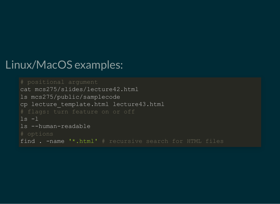#### Linux/MacOS examples:

```
cat mcs275/slides/lecture42.html
ls mcs275/public/samplecode
cp lecture template.html lecture43.html
ls -1ls --human-readable
find . -name '*.html' # recursive search for HTML files
```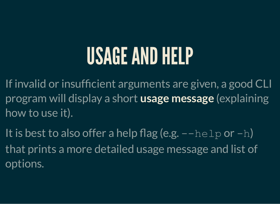### USAGEANDHELP

If invalid or insufficient arguments are given, a good CLI program will display a short **usage message** (explaining how to use it).

It is best to also offer a help flag (e.g.  $-\text{help}$  or  $-h$ ) that prints a more detailed usage message and list of options.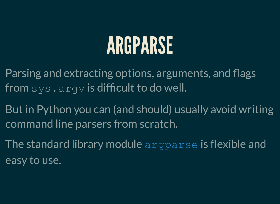### ARGPARSE

- Parsing and extracting options, arguments, and flags from sys.argv is difficult to do well.
- But in Python you can (and should) usually avoid writing command line parsers from scratch.
- The standard library module [argparse](https://docs.python.org/3/howto/argparse.html) is flexible and easy to use.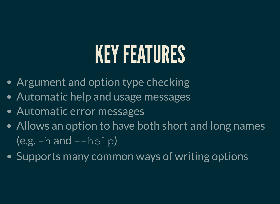# KEY FEATURES

- Argument and option type checking
- Automatic help and usage messages
- Automatic error messages
- Allows an option to have both short and long names  $(e.g. -h and -help)$
- Supports many common ways of writing options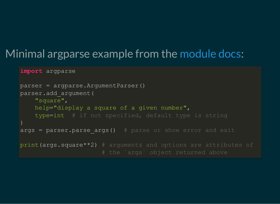#### Minimal argparse example from the [module](https://docs.python.org/3/howto/argparse.html) docs:

**import** argparse

```
parser = argparse.ArgumentParser()
parser.add_argument(
     "square",
     help="display a square of a given number",
     type=int # if not specified, default type is string
\big)args = parser.parse args() # parse or show error and exit
print(args.square**2) # arguments and options are attributes of
```